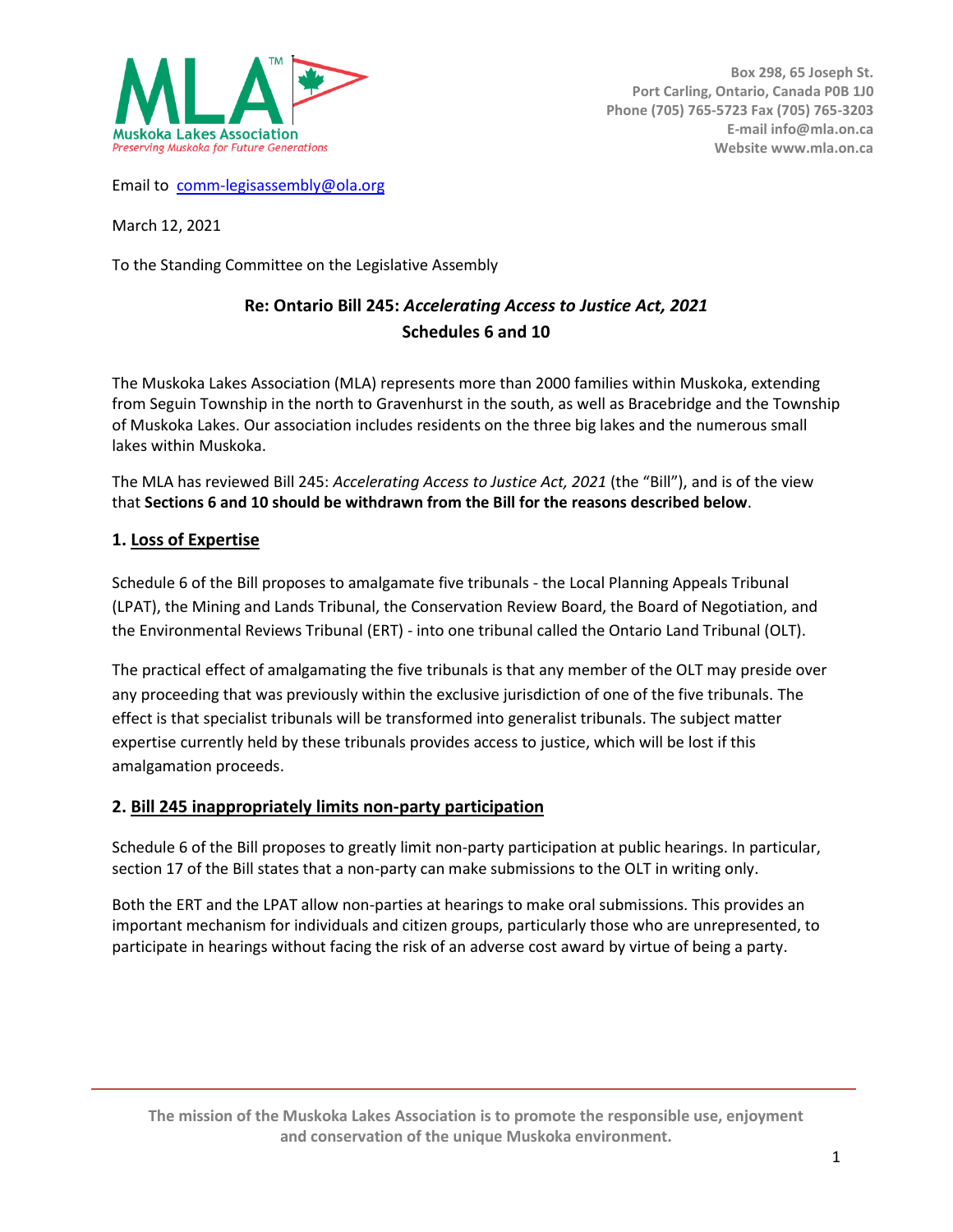

Email to [comm-legisassembly@ola.org](mailto:comm-legisassembly@ola.org)

March 12, 2021

To the Standing Committee on the Legislative Assembly

# **Re: Ontario Bill 245:** *Accelerating Access to Justice Act, 2021* **Schedules 6 and 10**

The Muskoka Lakes Association (MLA) represents more than 2000 families within Muskoka, extending from Seguin Township in the north to Gravenhurst in the south, as well as Bracebridge and the Township of Muskoka Lakes. Our association includes residents on the three big lakes and the numerous small lakes within Muskoka.

The MLA has reviewed Bill 245: *Accelerating Access to Justice Act, 2021* (the "Bill"), and is of the view that **Sections 6 and 10 should be withdrawn from the Bill for the reasons described below**.

#### **1. Loss of Expertise**

Schedule 6 of the Bill proposes to amalgamate five tribunals - the Local Planning Appeals Tribunal (LPAT), the Mining and Lands Tribunal, the Conservation Review Board, the Board of Negotiation, and the Environmental Reviews Tribunal (ERT) - into one tribunal called the Ontario Land Tribunal (OLT).

The practical effect of amalgamating the five tribunals is that any member of the OLT may preside over any proceeding that was previously within the exclusive jurisdiction of one of the five tribunals. The effect is that specialist tribunals will be transformed into generalist tribunals. The subject matter expertise currently held by these tribunals provides access to justice, which will be lost if this amalgamation proceeds.

#### **2. Bill 245 inappropriately limits non-party participation**

Schedule 6 of the Bill proposes to greatly limit non-party participation at public hearings. In particular, section 17 of the Bill states that a non-party can make submissions to the OLT in writing only.

Both the ERT and the LPAT allow non-parties at hearings to make oral submissions. This provides an important mechanism for individuals and citizen groups, particularly those who are unrepresented, to participate in hearings without facing the risk of an adverse cost award by virtue of being a party.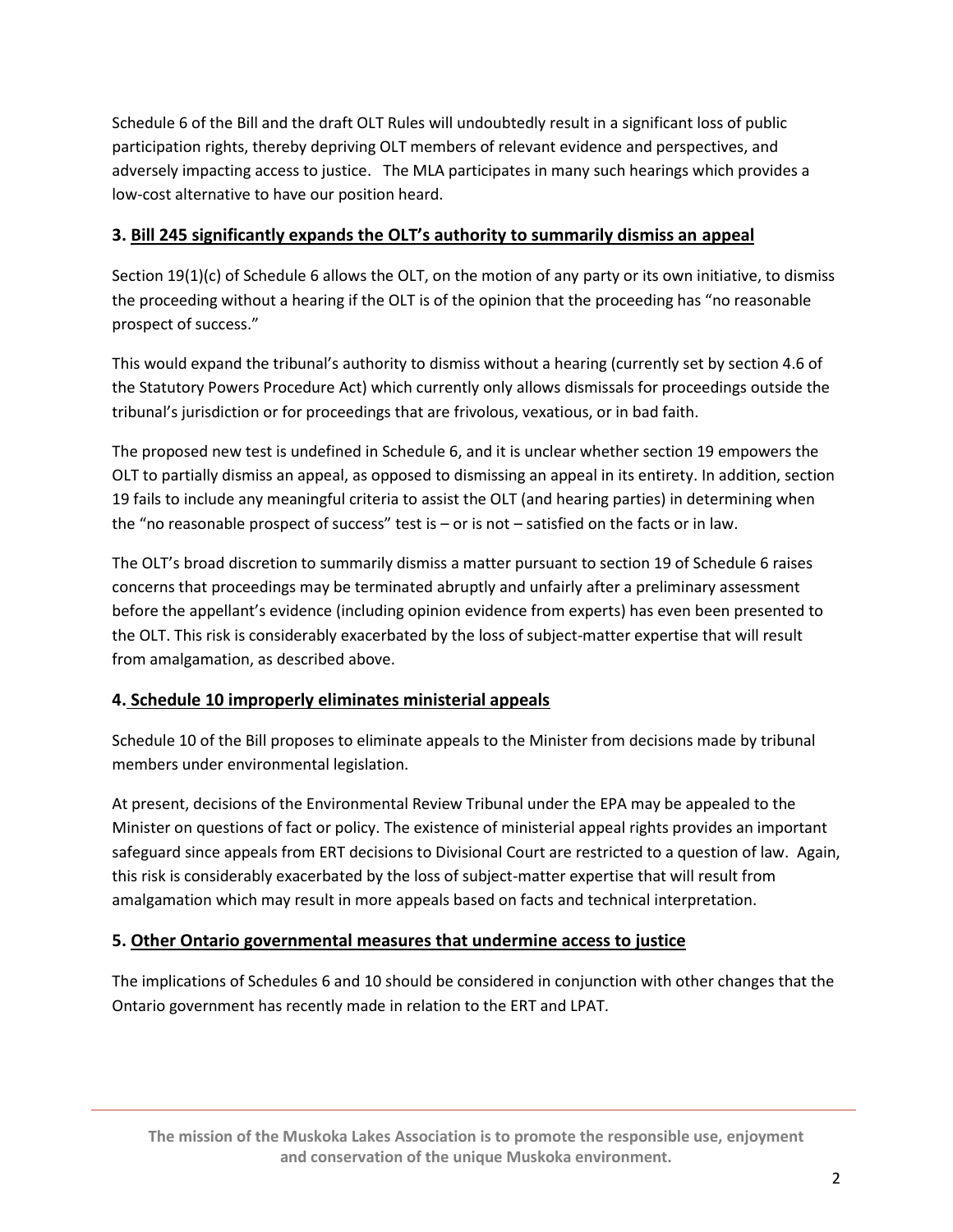Schedule 6 of the Bill and the draft OLT Rules will undoubtedly result in a significant loss of public participation rights, thereby depriving OLT members of relevant evidence and perspectives, and adversely impacting access to justice. The MLA participates in many such hearings which provides a low-cost alternative to have our position heard.

### **3. Bill 245 significantly expands the OLT's authority to summarily dismiss an appeal**

Section 19(1)(c) of Schedule 6 allows the OLT, on the motion of any party or its own initiative, to dismiss the proceeding without a hearing if the OLT is of the opinion that the proceeding has "no reasonable prospect of success."

This would expand the tribunal's authority to dismiss without a hearing (currently set by section 4.6 of the Statutory Powers Procedure Act) which currently only allows dismissals for proceedings outside the tribunal's jurisdiction or for proceedings that are frivolous, vexatious, or in bad faith.

The proposed new test is undefined in Schedule 6, and it is unclear whether section 19 empowers the OLT to partially dismiss an appeal, as opposed to dismissing an appeal in its entirety. In addition, section 19 fails to include any meaningful criteria to assist the OLT (and hearing parties) in determining when the "no reasonable prospect of success" test is – or is not – satisfied on the facts or in law.

The OLT's broad discretion to summarily dismiss a matter pursuant to section 19 of Schedule 6 raises concerns that proceedings may be terminated abruptly and unfairly after a preliminary assessment before the appellant's evidence (including opinion evidence from experts) has even been presented to the OLT. This risk is considerably exacerbated by the loss of subject-matter expertise that will result from amalgamation, as described above.

## **4. Schedule 10 improperly eliminates ministerial appeals**

Schedule 10 of the Bill proposes to eliminate appeals to the Minister from decisions made by tribunal members under environmental legislation.

At present, decisions of the Environmental Review Tribunal under the EPA may be appealed to the Minister on questions of fact or policy. The existence of ministerial appeal rights provides an important safeguard since appeals from ERT decisions to Divisional Court are restricted to a question of law. Again, this risk is considerably exacerbated by the loss of subject-matter expertise that will result from amalgamation which may result in more appeals based on facts and technical interpretation.

### **5. Other Ontario governmental measures that undermine access to justice**

The implications of Schedules 6 and 10 should be considered in conjunction with other changes that the Ontario government has recently made in relation to the ERT and LPAT.

**The mission of the Muskoka Lakes Association is to promote the responsible use, enjoyment and conservation of the unique Muskoka environment.**